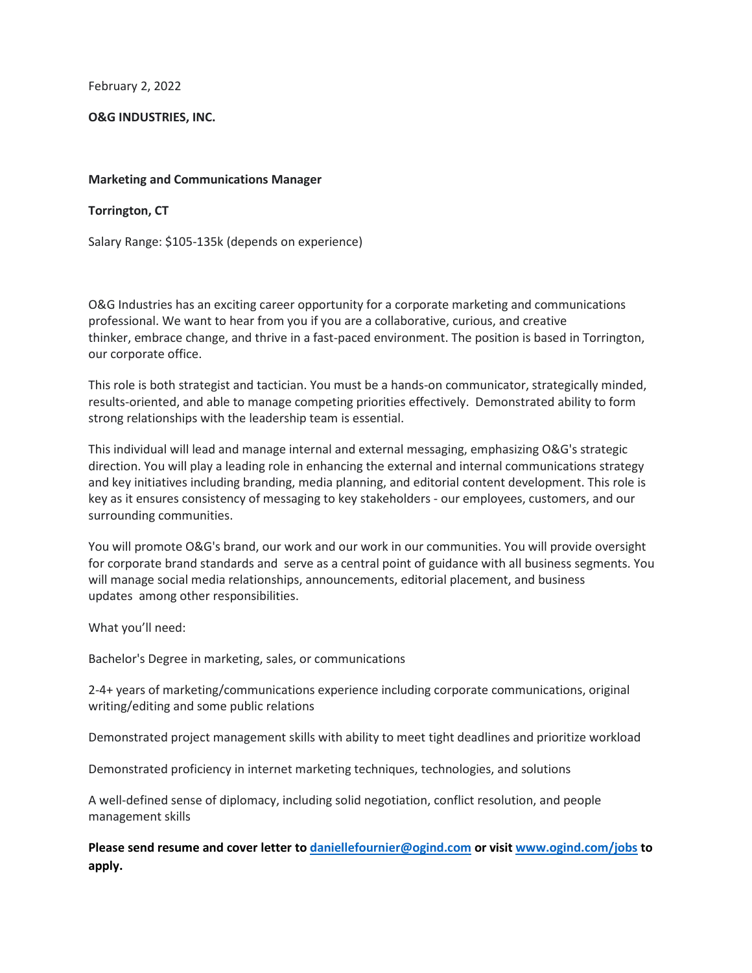February 2, 2022

## **O&G INDUSTRIES, INC.**

## **Marketing and Communications Manager**

## **Torrington, CT**

Salary Range: \$105-135k (depends on experience)

O&G Industries has an exciting career opportunity for a corporate marketing and communications professional. We want to hear from you if you are a collaborative, curious, and creative thinker, embrace change, and thrive in a fast-paced environment. The position is based in Torrington, our corporate office.

This role is both strategist and tactician. You must be a hands-on communicator, strategically minded, results-oriented, and able to manage competing priorities effectively. Demonstrated ability to form strong relationships with the leadership team is essential.

This individual will lead and manage internal and external messaging, emphasizing O&G's strategic direction. You will play a leading role in enhancing the external and internal communications strategy and key initiatives including branding, media planning, and editorial content development. This role is key as it ensures consistency of messaging to key stakeholders - our employees, customers, and our surrounding communities.

You will promote O&G's brand, our work and our work in our communities. You will provide oversight for corporate brand standards and serve as a central point of guidance with all business segments. You will manage social media relationships, announcements, editorial placement, and business updates among other responsibilities.

What you'll need:

Bachelor's Degree in marketing, sales, or communications

2-4+ years of marketing/communications experience including corporate communications, original writing/editing and some public relations

Demonstrated project management skills with ability to meet tight deadlines and prioritize workload

Demonstrated proficiency in internet marketing techniques, technologies, and solutions

A well-defined sense of diplomacy, including solid negotiation, conflict resolution, and people management skills

**Please send resume and cover letter t[o daniellefournier@ogind.com](mailto:daniellefournier@ogind.com) or visit [www.ogind.com/jobs](http://www.ogind.com/jobs) to apply.**